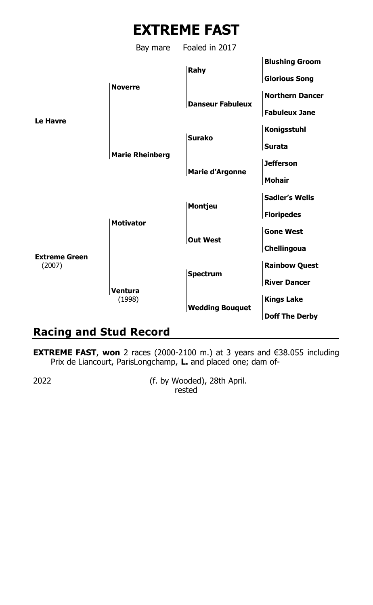# **EXTREME FAST**

Bay mare Foaled in 2017



## **Racing and Stud Record**

**EXTREME FAST**, **won** 2 races (2000-2100 m.) at 3 years and €38.055 including Prix de Liancourt, ParisLongchamp, **L.** and placed one; dam of-

2022 (f. by Wooded), 28th April. rested